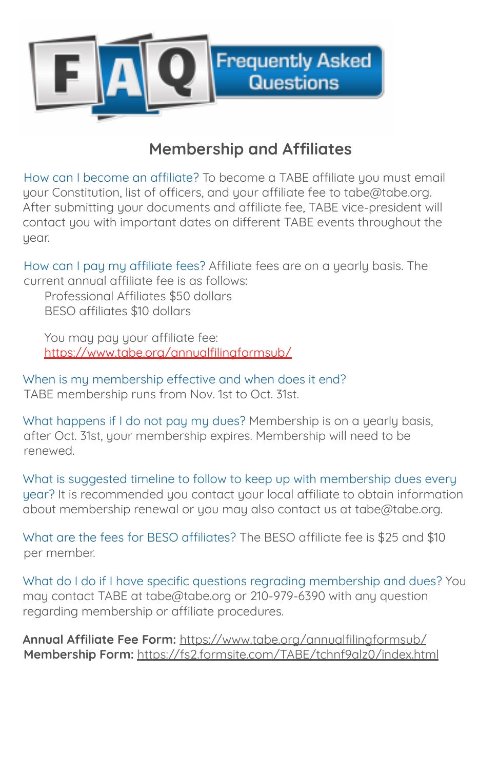

## **Membership and Affiliates**

How can I become an affiliate? To become a TABE affiliate you must email your Constitution, list of officers, and your affiliate fee to tabe@tabe.org. After submitting your documents and affiliate fee, TABE vice-president will contact you with important dates on different TABE events throughout the year.

How can I pay my affiliate fees? Affiliate fees are on a yearly basis. The current annual affiliate fee is as follows:

Professional Affiliates \$50 dollars BESO affiliates \$10 dollars

You may pay your affiliate fee: https://www.tabe.org/annualfilingformsub/

When is my membership effective and when does it end? TABE membership runs from Nov. 1st to Oct. 31st.

What happens if I do not pay my dues? Membership is on a yearly basis, after Oct. 31st, your membership expires. Membership will need to be renewed.

What is suggested timeline to follow to keep up with membership dues every year? It is recommended you contact your local affiliate to obtain information about membership renewal or you may also contact us at tabe@tabe.org.

What are the fees for BESO affiliates? The BESO affiliate fee is \$25 and \$10 per member.

What do I do if I have specific questions regrading membership and dues? You may contact TABE at tabe@tabe.org or 210-979-6390 with any question regarding membership or affiliate procedures.

**Annual Affiliate Fee Form:** https://www.tabe.org/annualfilingformsub/ **Membership Form:** https://fs2.formsite.com/TABE/tchnf9alz0/index.html